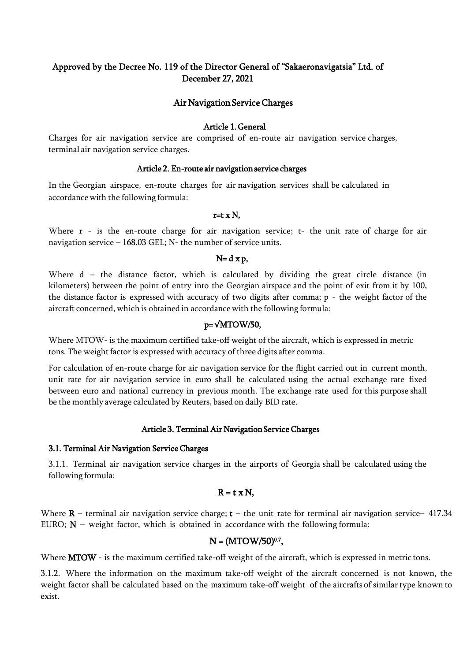# Approved by the Decree No. 119 of the Director General of "Sakaeronavigatsia" Ltd. of December 27, 2021

# Air Navigation Service Charges

#### Article 1. General

Charges for air navigation service are comprised of en-route air navigation service charges, terminal air navigation service charges.

#### Article 2. En-route air navigation service charges

In the Georgian airspace, en-route charges for air navigation services shall be calculated in accordance with the following formula:

#### $r=t \times N$ ,

Where r - is the en-route charge for air navigation service; t- the unit rate of charge for air navigation service – 168.03 GEL; N- the number of service units.

#### $N= d x p$ ,

Where d – the distance factor, which is calculated by dividing the great circle distance (in kilometers) between the point of entry into the Georgian airspace and the point of exit from it by 100, the distance factor is expressed with accuracy of two digits after comma; p - the weight factor of the aircraft concerned, which is obtained in accordancewith the following formula:

#### $p = \sqrt{MTOW/50}$ ,

Where MTOW- is the maximum certified take-off weight of the aircraft, which is expressed in metric tons. The weight factor is expressed with accuracy of three digits after comma.

For calculation of en-route charge for air navigation service for the flight carried out in current month, unit rate for air navigation service in euro shall be calculated using the actual exchange rate fixed between euro and national currency in previous month. The exchange rate used for this purpose shall be the monthly average calculated by Reuters, based on daily BID rate.

#### Article 3. Terminal Air Navigation Service Charges

#### 3.1. Terminal Air Navigation Service Charges

3.1.1. Terminal air navigation service charges in the airports of Georgia shall be calculated using the following formula:

# $R = t \times N$ ,

Where  $R$  – terminal air navigation service charge;  $t$  – the unit rate for terminal air navigation service– 417.34 EURO;  $N$  – weight factor, which is obtained in accordance with the following formula:

#### N = (MTOW/50)<sup>0.7</sup>,

Where **MTOW** - is the maximum certified take-off weight of the aircraft, which is expressed in metric tons.

3.1.2. Where the information on the maximum take-off weight of the aircraft concerned is not known, the weight factor shall be calculated based on the maximum take-off weight of the aircrafts of similar type known to exist.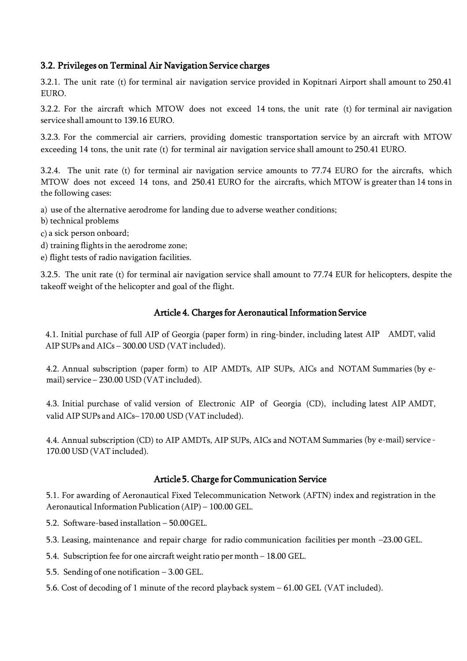# 3.2. Privileges on Terminal Air Navigation Service charges

3.2.1. The unit rate (t) for terminal air navigation service provided in Kopitnari Airport shall amount to 250.41 EURO.

3.2.2. For the aircraft which MTOW does not exceed 14 tons, the unit rate (t) for terminal air navigation service shall amount to 139.16 EURO.

3.2.3. For the commercial air carriers, providing domestic transportation service by an aircraft with MTOW exceeding 14 tons, the unit rate (t) for terminal air navigation service shall amount to 250.41 EURO.

3.2.4. The unit rate (t) for terminal air navigation service amounts to 77.74 EURO for the aircrafts, which MTOW does not exceed 14 tons, and 250.41 EURO for the aircrafts, which MTOW is greaterthan 14 tons in the following cases:

a) use of the alternative aerodrome for landing due to adverse weather conditions;

- b) technical problems
- c) a sick person onboard;
- d) training flights in the aerodrome zone;
- e) flight tests of radio navigation facilities.

3.2.5. The unit rate (t) for terminal air navigation service shall amount to 77.74 EUR for helicopters, despite the takeoff weight of the helicopter and goal of the flight.

# Article 4. Charges for Aeronautical Information Service

4.1. Initial purchase of full AIP of Georgia (paper form) in ring-binder, including latest AIP AMDT, valid AIP SUPs and AICs – 300.00 USD (VAT included).

4.2. Annual subscription (paper form) to AIP AMDTs, AIP SUPs, AICs and NOTAM Summaries (by email) service – 230.00 USD (VAT included).

4.3. Initial purchase of valid version of Electronic AIP of Georgia (CD), including latest AIP AMDT, valid AIP SUPs and AICs– 170.00 USD (VAT included).

4.4. Annual subscription (CD) to AIP AMDTs, AIP SUPs, AICs and NOTAM Summaries (by e-mail) service - 170.00 USD (VAT included).

# Article 5. Charge for Communication Service

5.1. For awarding of Aeronautical Fixed Telecommunication Network (AFTN) index and registration in the Aeronautical Information Publication (AIP) – 100.00 GEL.

5.2. Software-based installation – 50.00GEL.

5.3. Leasing, maintenance and repair charge for radio communication facilities per month –23.00 GEL.

5.4. Subscription fee for one aircraft weight ratio per month - 18.00 GEL.

5.5. Sending of one notification – 3.00 GEL.

5.6. Cost of decoding of 1 minute of the record playback system – 61.00 GEL (VAT included).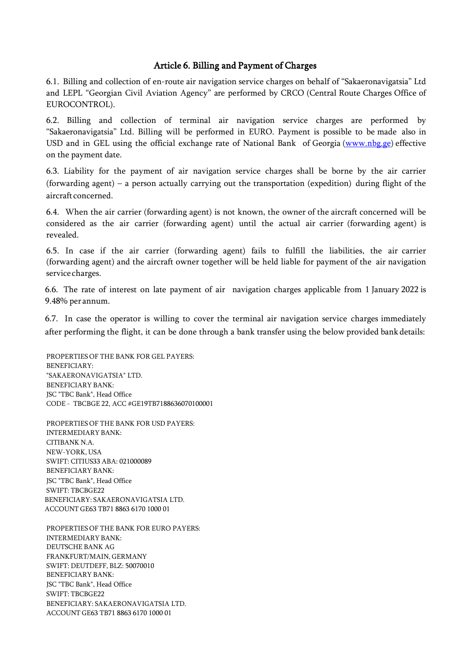# Article 6. Billing and Payment of Charges

6.1. Billing and collection of en-route air navigation service charges on behalf of "Sakaeronavigatsia" Ltd and LEPL "Georgian Civil Aviation Agency" are performed by CRCO (Central Route Charges Office of EUROCONTROL).

6.2. Billing and collection of terminal air navigation service charges are performed by "Sakaeronavigatsia" Ltd. Billing will be performed in EURO. Payment is possible to be made also in USD and in GEL using the official exchange rate of National Bank of Georgia [\(www.nbg.ge\)](http://www.nbg.ge/) effective on the payment date.

6.3. Liability for the payment of air navigation service charges shall be borne by the air carrier (forwarding agent) – a person actually carrying out the transportation (expedition) during flight of the aircraft concerned.

6.4. When the air carrier (forwarding agent) is not known, the owner of the aircraft concerned will be considered as the air carrier (forwarding agent) until the actual air carrier (forwarding agent) is revealed.

6.5. In case if the air carrier (forwarding agent) fails to fulfill the liabilities, the air carrier (forwarding agent) and the aircraft owner together will be held liable for payment of the air navigation service charges.

6.6. The rate of interest on late payment of air navigation charges applicable from 1 January 2022 is 9.48% per annum.

6.7. In case the operator is willing to cover the terminal air navigation service charges immediately after performing the flight, it can be done through a bank transfer using the below provided bank details:

PROPERTIES OF THE BANK FOR GEL PAYERS: BENEFICIARY: "SAKAERONAVIGATSIA" LTD. BENEFICIARY BANK: JSC "TBC Bank", Head Office CODE - TBCBGE 22, ACC #GE19TB7188636070100001

PROPERTIES OF THE BANK FOR USD PAYERS: INTERMEDIARY BANK: CITIBANK N.A. NEW-YORK, USA SWIFT: CITIUS33 ABA: 021000089 BENEFICIARY BANK: JSC "TBC Bank", Head Office SWIFT: TBCBGE22 BENEFICIARY: SAKAERONAVIGATSIA LTD. ACCOUNT GE63 TB71 8863 6170 1000 01

PROPERTIES OF THE BANK FOR EURO PAYERS: INTERMEDIARY BANK: DEUTSCHE BANK AG FRANKFURT/MAIN, GERMANY SWIFT: DEUTDEFF, BLZ: 50070010 BENEFICIARY BANK: JSC "TBC Bank", Head Office SWIFT: TBCBGE22 BENEFICIARY: SAKAERONAVIGATSIA LTD. ACCOUNT GE63 TB71 8863 6170 1000 01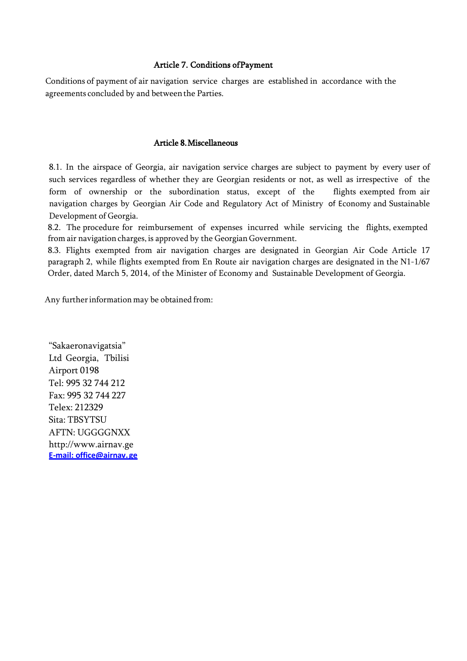### Article 7. Conditions of Payment

Conditions of payment of air navigation service charges are established in accordance with the agreements concluded by and between the Parties.

#### Article 8. Miscellaneous

8.1. In the airspace of Georgia, air navigation service charges are subject to payment by every user of such services regardless of whether they are Georgian residents or not, as well as irrespective of the form of ownership or the subordination status, except of the flights exempted from air navigation charges by Georgian Air Code and Regulatory Act of Ministry of Economy and Sustainable Development of Georgia.

8.2. The procedure for reimbursement of expenses incurred while servicing the flights, exempted from air navigation charges, is approved by the Georgian Government.

8.3. Flights exempted from air navigation charges are designated in Georgian Air Code Article 17 paragraph 2, while flights exempted from En Route air navigation charges are designated in the N1-1/67 Order, dated March 5, 2014, of the Minister of Economy and Sustainable Development of Georgia.

Any further information may be obtained from:

"Sakaeronavigatsia" Ltd Georgia, Tbilisi Airport 0198 Tel: 995 32 744 212 Fax: 995 32 744 227 Telex: 212329 Sita: TBSYTSU AFTN: UGGGGNXX [http://www.airnav.ge](http://www/) **[E-mail: office@airnav.ge](mailto:office@airnav.com.ge)**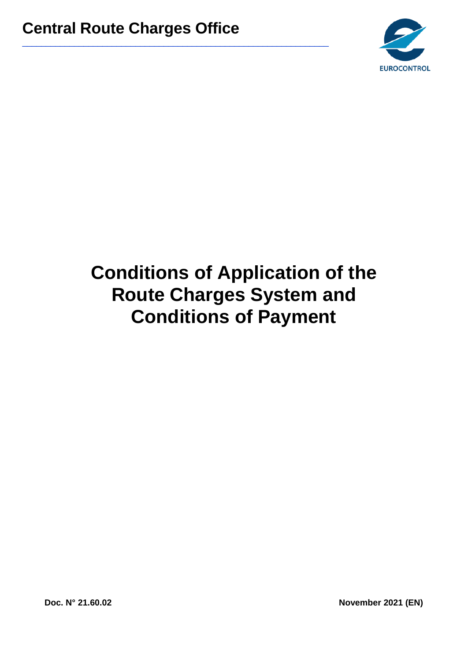\_\_\_\_\_\_\_\_\_\_\_\_\_\_\_\_\_\_\_\_\_\_\_\_\_\_\_\_\_\_\_\_\_\_\_\_\_\_\_\_\_\_\_\_\_\_\_\_\_\_\_\_\_\_\_\_\_\_\_\_\_\_\_\_\_



# **Conditions of Application of the Route Charges System and Conditions of Payment**

**Doc. N° 21.60.02 November 2021 (EN)**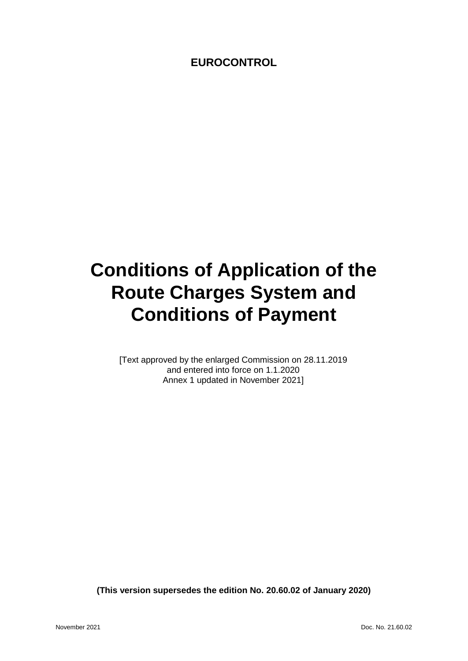# **EUROCONTROL**

# **Conditions of Application of the Route Charges System and Conditions of Payment**

[Text approved by the enlarged Commission on 28.11.2019 and entered into force on 1.1.2020 Annex 1 updated in November 2021]

**(This version supersedes the edition No. 20.60.02 of January 2020)**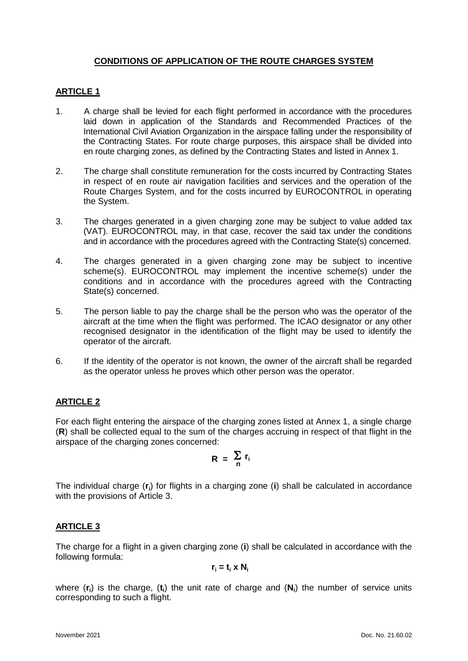# **CONDITIONS OF APPLICATION OF THE ROUTE CHARGES SYSTEM**

# **ARTICLE 1**

- 1. A charge shall be levied for each flight performed in accordance with the procedures laid down in application of the Standards and Recommended Practices of the International Civil Aviation Organization in the airspace falling under the responsibility of the Contracting States. For route charge purposes, this airspace shall be divided into en route charging zones, as defined by the Contracting States and listed in Annex 1.
- 2. The charge shall constitute remuneration for the costs incurred by Contracting States in respect of en route air navigation facilities and services and the operation of the Route Charges System, and for the costs incurred by EUROCONTROL in operating the System.
- 3. The charges generated in a given charging zone may be subject to value added tax (VAT). EUROCONTROL may, in that case, recover the said tax under the conditions and in accordance with the procedures agreed with the Contracting State(s) concerned.
- 4. The charges generated in a given charging zone may be subject to incentive scheme(s). EUROCONTROL may implement the incentive scheme(s) under the conditions and in accordance with the procedures agreed with the Contracting State(s) concerned.
- 5. The person liable to pay the charge shall be the person who was the operator of the aircraft at the time when the flight was performed. The ICAO designator or any other recognised designator in the identification of the flight may be used to identify the operator of the aircraft.
- 6. If the identity of the operator is not known, the owner of the aircraft shall be regarded as the operator unless he proves which other person was the operator.

# **ARTICLE 2**

For each flight entering the airspace of the charging zones listed at Annex 1, a single charge (**R**) shall be collected equal to the sum of the charges accruing in respect of that flight in the airspace of the charging zones concerned:

$$
R = \sum_{n} r_i
$$

The individual charge (**r<sup>i</sup>** ) for flights in a charging zone (**i**) shall be calculated in accordance with the provisions of Article 3.

### **ARTICLE 3**

The charge for a flight in a given charging zone (**i**) shall be calculated in accordance with the following formula:

$$
\mathbf{r}_i = \mathbf{t}_i \times \mathbf{N}_i
$$

where (r<sub>i</sub>) is the charge, (t<sub>i</sub>) the unit rate of charge and (N<sub>i</sub>) the number of service units corresponding to such a flight.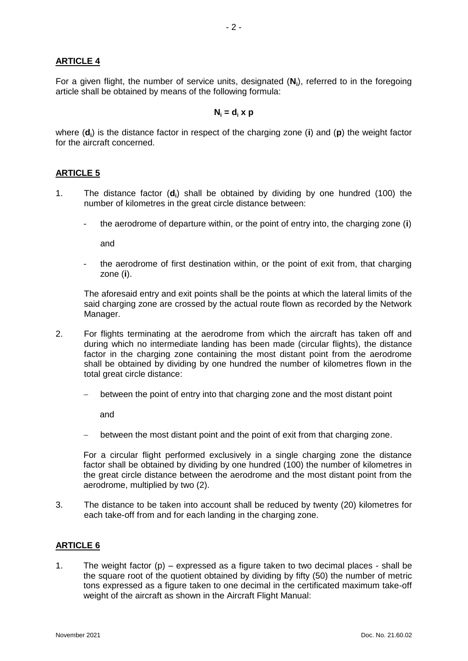# **ARTICLE 4**

For a given flight, the number of service units, designated (**N<sup>i</sup>** ), referred to in the foregoing article shall be obtained by means of the following formula:

#### $N_i = d_i \times p$

where (**d<sup>i</sup>** ) is the distance factor in respect of the charging zone (**i**) and (**p**) the weight factor for the aircraft concerned.

### **ARTICLE 5**

- 1. The distance factor (**d<sup>i</sup>** ) shall be obtained by dividing by one hundred (100) the number of kilometres in the great circle distance between:
	- the aerodrome of departure within, or the point of entry into, the charging zone (**i**)

and

the aerodrome of first destination within, or the point of exit from, that charging zone (**i**).

The aforesaid entry and exit points shall be the points at which the lateral limits of the said charging zone are crossed by the actual route flown as recorded by the Network Manager.

- 2. For flights terminating at the aerodrome from which the aircraft has taken off and during which no intermediate landing has been made (circular flights), the distance factor in the charging zone containing the most distant point from the aerodrome shall be obtained by dividing by one hundred the number of kilometres flown in the total great circle distance:
	- between the point of entry into that charging zone and the most distant point

and

between the most distant point and the point of exit from that charging zone.

For a circular flight performed exclusively in a single charging zone the distance factor shall be obtained by dividing by one hundred (100) the number of kilometres in the great circle distance between the aerodrome and the most distant point from the aerodrome, multiplied by two (2).

3. The distance to be taken into account shall be reduced by twenty (20) kilometres for each take-off from and for each landing in the charging zone.

# **ARTICLE 6**

1. The weight factor  $(p)$  – expressed as a figure taken to two decimal places - shall be the square root of the quotient obtained by dividing by fifty (50) the number of metric tons expressed as a figure taken to one decimal in the certificated maximum take-off weight of the aircraft as shown in the Aircraft Flight Manual: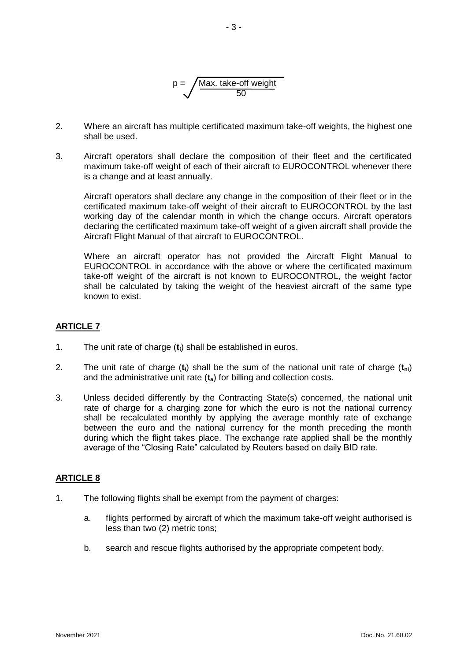

- 2. Where an aircraft has multiple certificated maximum take-off weights, the highest one shall be used.
- 3. Aircraft operators shall declare the composition of their fleet and the certificated maximum take-off weight of each of their aircraft to EUROCONTROL whenever there is a change and at least annually.

Aircraft operators shall declare any change in the composition of their fleet or in the certificated maximum take-off weight of their aircraft to EUROCONTROL by the last working day of the calendar month in which the change occurs. Aircraft operators declaring the certificated maximum take-off weight of a given aircraft shall provide the Aircraft Flight Manual of that aircraft to EUROCONTROL.

Where an aircraft operator has not provided the Aircraft Flight Manual to EUROCONTROL in accordance with the above or where the certificated maximum take-off weight of the aircraft is not known to EUROCONTROL, the weight factor shall be calculated by taking the weight of the heaviest aircraft of the same type known to exist.

# **ARTICLE 7**

- 1. The unit rate of charge (**t<sup>i</sup>** ) shall be established in euros.
- 2. The unit rate of charge (**ti**) shall be the sum of the national unit rate of charge (**tni**) and the administrative unit rate (**ta**) for billing and collection costs.
- 3. Unless decided differently by the Contracting State(s) concerned, the national unit rate of charge for a charging zone for which the euro is not the national currency shall be recalculated monthly by applying the average monthly rate of exchange between the euro and the national currency for the month preceding the month during which the flight takes place. The exchange rate applied shall be the monthly average of the "Closing Rate" calculated by Reuters based on daily BID rate.

### **ARTICLE 8**

- 1. The following flights shall be exempt from the payment of charges:
	- a. flights performed by aircraft of which the maximum take-off weight authorised is less than two (2) metric tons;
	- b. search and rescue flights authorised by the appropriate competent body.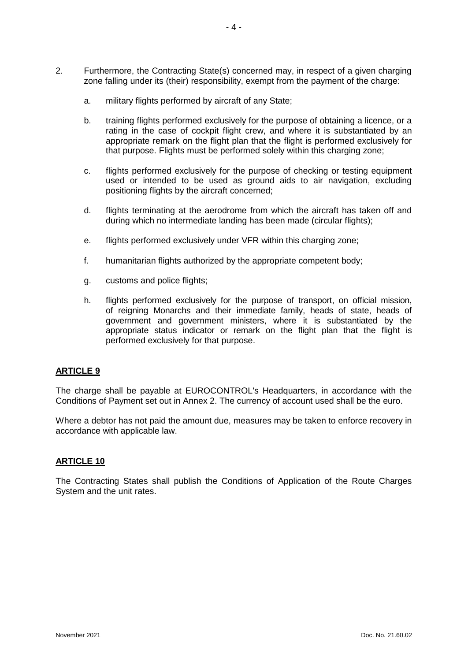- 2. Furthermore, the Contracting State(s) concerned may, in respect of a given charging zone falling under its (their) responsibility, exempt from the payment of the charge:
	- a. military flights performed by aircraft of any State;
	- b. training flights performed exclusively for the purpose of obtaining a licence, or a rating in the case of cockpit flight crew, and where it is substantiated by an appropriate remark on the flight plan that the flight is performed exclusively for that purpose. Flights must be performed solely within this charging zone;
	- c. flights performed exclusively for the purpose of checking or testing equipment used or intended to be used as ground aids to air navigation, excluding positioning flights by the aircraft concerned;
	- d. flights terminating at the aerodrome from which the aircraft has taken off and during which no intermediate landing has been made (circular flights);
	- e. flights performed exclusively under VFR within this charging zone;
	- f. humanitarian flights authorized by the appropriate competent body;
	- g. customs and police flights;
	- h. flights performed exclusively for the purpose of transport, on official mission, of reigning Monarchs and their immediate family, heads of state, heads of government and government ministers, where it is substantiated by the appropriate status indicator or remark on the flight plan that the flight is performed exclusively for that purpose.

#### **ARTICLE 9**

The charge shall be payable at EUROCONTROL's Headquarters, in accordance with the Conditions of Payment set out in Annex 2. The currency of account used shall be the euro.

Where a debtor has not paid the amount due, measures may be taken to enforce recovery in accordance with applicable law.

#### **ARTICLE 10**

The Contracting States shall publish the Conditions of Application of the Route Charges System and the unit rates.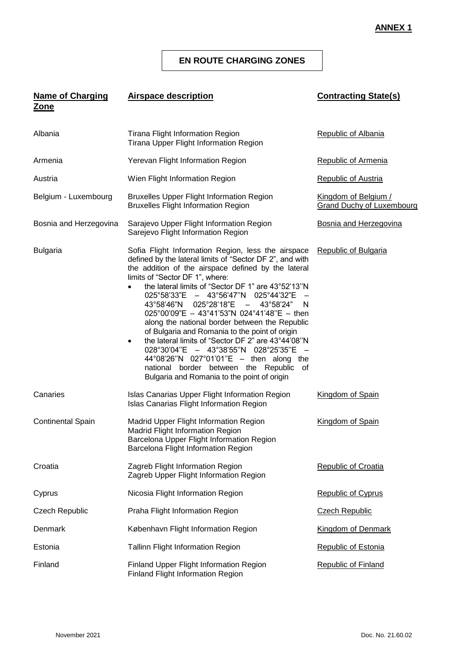#### **ANNEX 1**

### **EN ROUTE CHARGING ZONES**

#### **Name of Charging Zone Airspace description Contracting State(s)**

| Albania                  | Tirana Flight Information Region<br>Tirana Upper Flight Information Region                                                                                                                                                                                                                                                                                                                                                                                                                                                                                                                                                                                                                                                                                                                              | <b>Republic of Albania</b>                        |
|--------------------------|---------------------------------------------------------------------------------------------------------------------------------------------------------------------------------------------------------------------------------------------------------------------------------------------------------------------------------------------------------------------------------------------------------------------------------------------------------------------------------------------------------------------------------------------------------------------------------------------------------------------------------------------------------------------------------------------------------------------------------------------------------------------------------------------------------|---------------------------------------------------|
| Armenia                  | Yerevan Flight Information Region                                                                                                                                                                                                                                                                                                                                                                                                                                                                                                                                                                                                                                                                                                                                                                       | <b>Republic of Armenia</b>                        |
| Austria                  | Wien Flight Information Region                                                                                                                                                                                                                                                                                                                                                                                                                                                                                                                                                                                                                                                                                                                                                                          | <b>Republic of Austria</b>                        |
| Belgium - Luxembourg     | <b>Bruxelles Upper Flight Information Region</b><br><b>Bruxelles Flight Information Region</b>                                                                                                                                                                                                                                                                                                                                                                                                                                                                                                                                                                                                                                                                                                          | Kingdom of Belgium /<br>Grand Duchy of Luxembourg |
| Bosnia and Herzegovina   | Sarajevo Upper Flight Information Region<br>Sarejevo Flight Information Region                                                                                                                                                                                                                                                                                                                                                                                                                                                                                                                                                                                                                                                                                                                          | Bosnia and Herzegovina                            |
| <b>Bulgaria</b>          | Sofia Flight Information Region, less the airspace<br>defined by the lateral limits of "Sector DF 2", and with<br>the addition of the airspace defined by the lateral<br>limits of "Sector DF 1", where:<br>the lateral limits of "Sector DF 1" are 43°52'13"N<br>$\bullet$<br>025°58'33"E - 43°56'47"N 025°44'32"E -<br>43°58'46"N 025°28'18"E - 43°58'24"<br>N.<br>$025^{\circ}00'09''E - 43^{\circ}41'53''N 024^{\circ}41'48''E - \text{then}$<br>along the national border between the Republic<br>of Bulgaria and Romania to the point of origin<br>the lateral limits of "Sector DF 2" are 43°44'08"N<br>$\bullet$<br>028°30'04"E - 43°38'55"N 028°25'35"E -<br>44°08'26"N 027°01'01"E - then along the<br>national border between the Republic of<br>Bulgaria and Romania to the point of origin | <b>Republic of Bulgaria</b>                       |
| Canaries                 | Islas Canarias Upper Flight Information Region<br>Islas Canarias Flight Information Region                                                                                                                                                                                                                                                                                                                                                                                                                                                                                                                                                                                                                                                                                                              | Kingdom of Spain                                  |
| <b>Continental Spain</b> | Madrid Upper Flight Information Region<br>Madrid Flight Information Region<br>Barcelona Upper Flight Information Region<br>Barcelona Flight Information Region                                                                                                                                                                                                                                                                                                                                                                                                                                                                                                                                                                                                                                          | Kingdom of Spain                                  |
| Croatia                  | Zagreb Flight Information Region<br>Zagreb Upper Flight Information Region                                                                                                                                                                                                                                                                                                                                                                                                                                                                                                                                                                                                                                                                                                                              | <b>Republic of Croatia</b>                        |
| Cyprus                   | Nicosia Flight Information Region                                                                                                                                                                                                                                                                                                                                                                                                                                                                                                                                                                                                                                                                                                                                                                       | Republic of Cyprus                                |
| <b>Czech Republic</b>    | Praha Flight Information Region                                                                                                                                                                                                                                                                                                                                                                                                                                                                                                                                                                                                                                                                                                                                                                         | <b>Czech Republic</b>                             |
| Denmark                  | København Flight Information Region                                                                                                                                                                                                                                                                                                                                                                                                                                                                                                                                                                                                                                                                                                                                                                     | Kingdom of Denmark                                |
| Estonia                  | Tallinn Flight Information Region                                                                                                                                                                                                                                                                                                                                                                                                                                                                                                                                                                                                                                                                                                                                                                       | <b>Republic of Estonia</b>                        |
| Finland                  | Finland Upper Flight Information Region<br><b>Finland Flight Information Region</b>                                                                                                                                                                                                                                                                                                                                                                                                                                                                                                                                                                                                                                                                                                                     | <b>Republic of Finland</b>                        |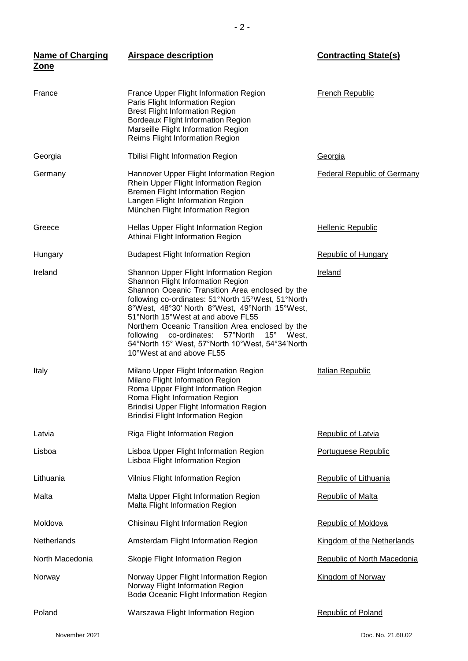| <b>Name of Charging</b> | <b>Airspace description</b>                                                                                                                                                                                                                                                                                                                                                                                                                                      | <b>Contracting State(s)</b>        |
|-------------------------|------------------------------------------------------------------------------------------------------------------------------------------------------------------------------------------------------------------------------------------------------------------------------------------------------------------------------------------------------------------------------------------------------------------------------------------------------------------|------------------------------------|
| <b>Zone</b>             |                                                                                                                                                                                                                                                                                                                                                                                                                                                                  |                                    |
| France                  | France Upper Flight Information Region<br>Paris Flight Information Region<br><b>Brest Flight Information Region</b><br>Bordeaux Flight Information Region<br>Marseille Flight Information Region<br>Reims Flight Information Region                                                                                                                                                                                                                              | <b>French Republic</b>             |
| Georgia                 | Tbilisi Flight Information Region                                                                                                                                                                                                                                                                                                                                                                                                                                | Georgia                            |
| Germany                 | Hannover Upper Flight Information Region<br>Rhein Upper Flight Information Region<br><b>Bremen Flight Information Region</b><br>Langen Flight Information Region<br>München Flight Information Region                                                                                                                                                                                                                                                            | <b>Federal Republic of Germany</b> |
| Greece                  | Hellas Upper Flight Information Region<br>Athinai Flight Information Region                                                                                                                                                                                                                                                                                                                                                                                      | <b>Hellenic Republic</b>           |
| Hungary                 | <b>Budapest Flight Information Region</b>                                                                                                                                                                                                                                                                                                                                                                                                                        | <b>Republic of Hungary</b>         |
| Ireland                 | Shannon Upper Flight Information Region<br>Shannon Flight Information Region<br>Shannon Oceanic Transition Area enclosed by the<br>following co-ordinates: 51°North 15°West, 51°North<br>8°West, 48°30' North 8°West, 49°North 15°West,<br>51°North 15°West at and above FL55<br>Northern Oceanic Transition Area enclosed by the<br>following co-ordinates: 57°North 15° West,<br>54°North 15° West, 57°North 10°West, 54°34'North<br>10°West at and above FL55 | Ireland                            |
| Italy                   | Milano Upper Flight Information Region<br>Milano Flight Information Region<br>Roma Upper Flight Information Region<br>Roma Flight Information Region<br><b>Brindisi Upper Flight Information Region</b><br><b>Brindisi Flight Information Region</b>                                                                                                                                                                                                             | Italian Republic                   |
| Latvia                  | Riga Flight Information Region                                                                                                                                                                                                                                                                                                                                                                                                                                   | Republic of Latvia                 |
| Lisboa                  | Lisboa Upper Flight Information Region<br>Lisboa Flight Information Region                                                                                                                                                                                                                                                                                                                                                                                       | Portuguese Republic                |
| Lithuania               | Vilnius Flight Information Region                                                                                                                                                                                                                                                                                                                                                                                                                                | Republic of Lithuania              |
| Malta                   | Malta Upper Flight Information Region<br>Malta Flight Information Region                                                                                                                                                                                                                                                                                                                                                                                         | <b>Republic of Malta</b>           |
| Moldova                 | Chisinau Flight Information Region                                                                                                                                                                                                                                                                                                                                                                                                                               | <b>Republic of Moldova</b>         |
| Netherlands             | Amsterdam Flight Information Region                                                                                                                                                                                                                                                                                                                                                                                                                              | Kingdom of the Netherlands         |
| North Macedonia         | Skopje Flight Information Region                                                                                                                                                                                                                                                                                                                                                                                                                                 | Republic of North Macedonia        |
| Norway                  | Norway Upper Flight Information Region<br>Norway Flight Information Region<br>Bodø Oceanic Flight Information Region                                                                                                                                                                                                                                                                                                                                             | Kingdom of Norway                  |
| Poland                  | Warszawa Flight Information Region                                                                                                                                                                                                                                                                                                                                                                                                                               | <b>Republic of Poland</b>          |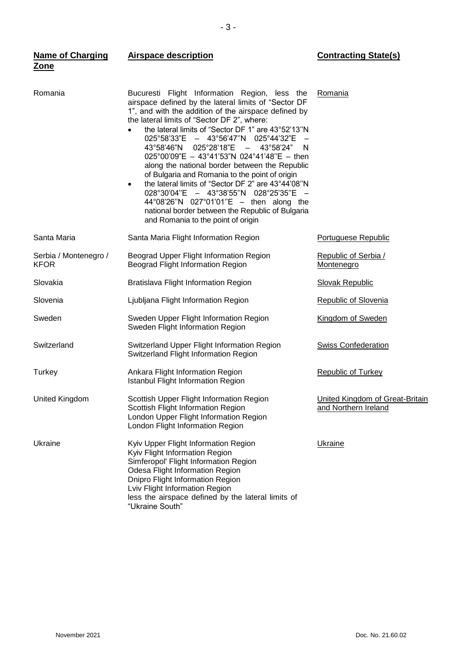| <b>Name of Charging</b><br>Zone      | <b>Airspace description</b>                                                                                                                                                                                                                                                                                                                                                                                                                                                                                                                                                                                                                                                                                                                                                              | <b>Contracting State(s)</b>                             |
|--------------------------------------|------------------------------------------------------------------------------------------------------------------------------------------------------------------------------------------------------------------------------------------------------------------------------------------------------------------------------------------------------------------------------------------------------------------------------------------------------------------------------------------------------------------------------------------------------------------------------------------------------------------------------------------------------------------------------------------------------------------------------------------------------------------------------------------|---------------------------------------------------------|
| Romania                              | Bucuresti Flight Information Region, less the<br>airspace defined by the lateral limits of "Sector DF<br>1", and with the addition of the airspace defined by<br>the lateral limits of "Sector DF 2", where:<br>the lateral limits of "Sector DF 1" are 43°52'13"N<br>$\bullet$<br>025°58'33"E - 43°56'47"N 025°44'32"E<br>$025^{\circ}28'18''E$ -<br>43°58'46"N<br>43°58'24"<br>N.<br>025°00'09"E - 43°41'53"N 024°41'48"E - then<br>along the national border between the Republic<br>of Bulgaria and Romania to the point of origin<br>the lateral limits of "Sector DF 2" are 43°44'08"N<br>$\bullet$<br>028°30'04"E - 43°38'55"N 028°25'35"E -<br>44°08'26"N 027°01'01"E - then along the<br>national border between the Republic of Bulgaria<br>and Romania to the point of origin | Romania                                                 |
| Santa Maria                          | Santa Maria Flight Information Region                                                                                                                                                                                                                                                                                                                                                                                                                                                                                                                                                                                                                                                                                                                                                    | <b>Portuguese Republic</b>                              |
| Serbia / Montenegro /<br><b>KFOR</b> | Beograd Upper Flight Information Region<br>Beograd Flight Information Region                                                                                                                                                                                                                                                                                                                                                                                                                                                                                                                                                                                                                                                                                                             | <b>Republic of Serbia /</b><br>Montenegro               |
| Slovakia                             | Bratislava Flight Information Region                                                                                                                                                                                                                                                                                                                                                                                                                                                                                                                                                                                                                                                                                                                                                     | <b>Slovak Republic</b>                                  |
| Slovenia                             | Ljubljana Flight Information Region                                                                                                                                                                                                                                                                                                                                                                                                                                                                                                                                                                                                                                                                                                                                                      | <b>Republic of Slovenia</b>                             |
| Sweden                               | Sweden Upper Flight Information Region<br>Sweden Flight Information Region                                                                                                                                                                                                                                                                                                                                                                                                                                                                                                                                                                                                                                                                                                               | Kingdom of Sweden                                       |
| Switzerland                          | Switzerland Upper Flight Information Region<br>Switzerland Flight Information Region                                                                                                                                                                                                                                                                                                                                                                                                                                                                                                                                                                                                                                                                                                     | <b>Swiss Confederation</b>                              |
| Turkey                               | Ankara Flight Information Region<br><b>Istanbul Flight Information Region</b>                                                                                                                                                                                                                                                                                                                                                                                                                                                                                                                                                                                                                                                                                                            | <b>Republic of Turkey</b>                               |
| United Kingdom                       | Scottish Upper Flight Information Region<br>Scottish Flight Information Region<br>London Upper Flight Information Region<br>London Flight Information Region                                                                                                                                                                                                                                                                                                                                                                                                                                                                                                                                                                                                                             | United Kingdom of Great-Britain<br>and Northern Ireland |
| Ukraine                              | Kyiv Upper Flight Information Region<br>Kyiv Flight Information Region<br>Simferopol' Flight Information Region<br>Odesa Flight Information Region<br>Dnipro Flight Information Region<br>Lviv Flight Information Region<br>less the airspace defined by the lateral limits of<br>"Ukraine South"                                                                                                                                                                                                                                                                                                                                                                                                                                                                                        | <b>Ukraine</b>                                          |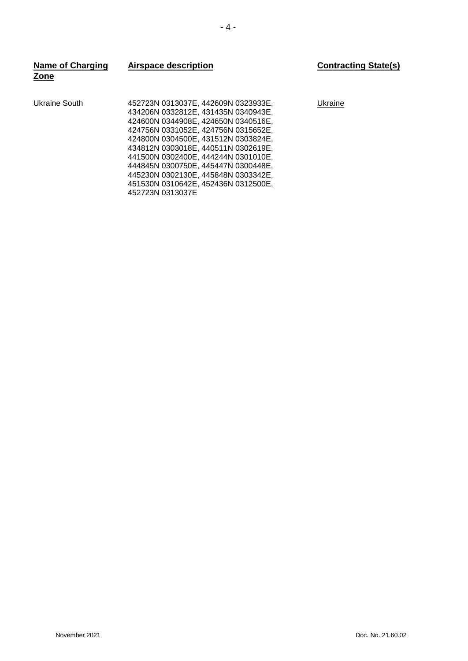| <b>Name of Charging</b><br>Zone | <b>Airspace description</b>                                                                                                                                                                                                                                                                                                                                                                                            | <b>Contracting State(s)</b> |
|---------------------------------|------------------------------------------------------------------------------------------------------------------------------------------------------------------------------------------------------------------------------------------------------------------------------------------------------------------------------------------------------------------------------------------------------------------------|-----------------------------|
| Ukraine South                   | 452723N 0313037E. 442609N 0323933E.<br>434206N 0332812E, 431435N 0340943E,<br>424600N 0344908E, 424650N 0340516E,<br>424756N 0331052E, 424756N 0315652E,<br>424800N 0304500E, 431512N 0303824E,<br>434812N 0303018E. 440511N 0302619E.<br>441500N 0302400E, 444244N 0301010E,<br>444845N 0300750E, 445447N 0300448E,<br>445230N 0302130E, 445848N 0303342E,<br>451530N 0310642E, 452436N 0312500E,<br>452723N 0313037E | Ukraine                     |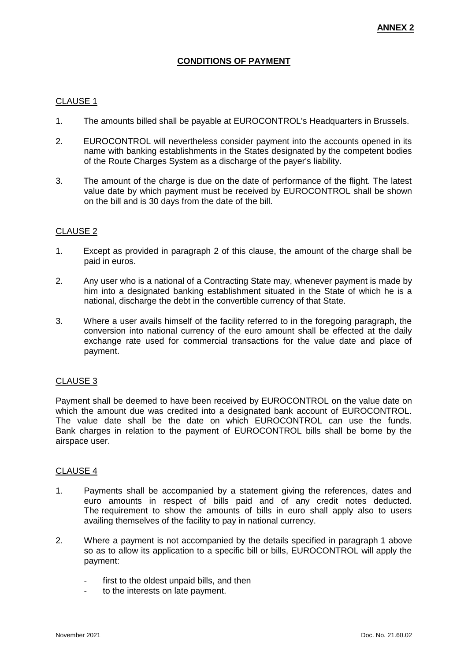# **CONDITIONS OF PAYMENT**

#### CLAUSE 1

- 1. The amounts billed shall be payable at EUROCONTROL's Headquarters in Brussels.
- 2. EUROCONTROL will nevertheless consider payment into the accounts opened in its name with banking establishments in the States designated by the competent bodies of the Route Charges System as a discharge of the payer's liability.
- 3. The amount of the charge is due on the date of performance of the flight. The latest value date by which payment must be received by EUROCONTROL shall be shown on the bill and is 30 days from the date of the bill.

#### CLAUSE 2

- 1. Except as provided in paragraph 2 of this clause, the amount of the charge shall be paid in euros.
- 2. Any user who is a national of a Contracting State may, whenever payment is made by him into a designated banking establishment situated in the State of which he is a national, discharge the debt in the convertible currency of that State.
- 3. Where a user avails himself of the facility referred to in the foregoing paragraph, the conversion into national currency of the euro amount shall be effected at the daily exchange rate used for commercial transactions for the value date and place of payment.

### CLAUSE 3

Payment shall be deemed to have been received by EUROCONTROL on the value date on which the amount due was credited into a designated bank account of EUROCONTROL. The value date shall be the date on which EUROCONTROL can use the funds. Bank charges in relation to the payment of EUROCONTROL bills shall be borne by the airspace user.

#### CLAUSE 4

- 1. Payments shall be accompanied by a statement giving the references, dates and euro amounts in respect of bills paid and of any credit notes deducted. The requirement to show the amounts of bills in euro shall apply also to users availing themselves of the facility to pay in national currency.
- 2. Where a payment is not accompanied by the details specified in paragraph 1 above so as to allow its application to a specific bill or bills, EUROCONTROL will apply the payment:
	- first to the oldest unpaid bills, and then
	- to the interests on late payment.